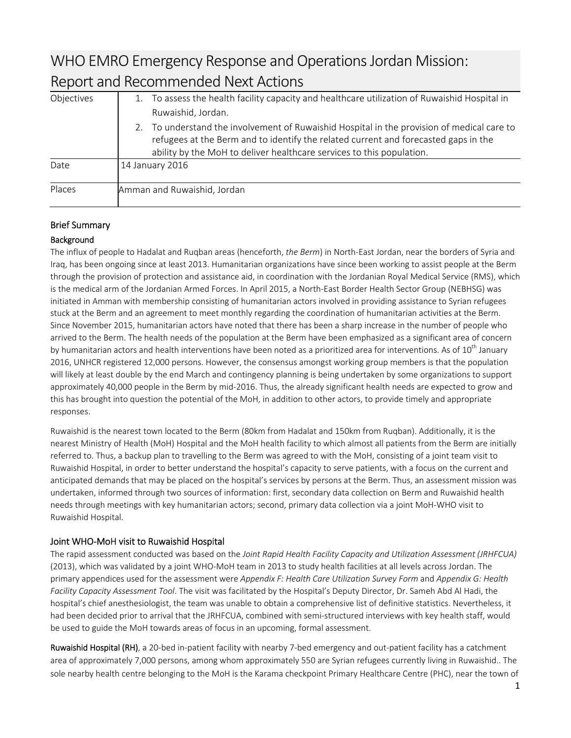# WHO EMRO Emergency Response and Operations Jordan Mission: Report and Recommended Next Actions

| Objectives | To assess the health facility capacity and healthcare utilization of Ruwaishid Hospital in                                                                                                                                                                    |  |  |
|------------|---------------------------------------------------------------------------------------------------------------------------------------------------------------------------------------------------------------------------------------------------------------|--|--|
|            | Ruwaishid, Jordan.                                                                                                                                                                                                                                            |  |  |
|            | To understand the involvement of Ruwaishid Hospital in the provision of medical care to<br>2.<br>refugees at the Berm and to identify the related current and forecasted gaps in the<br>ability by the MoH to deliver healthcare services to this population. |  |  |
| Date       | 14 January 2016                                                                                                                                                                                                                                               |  |  |
| Places     | Amman and Ruwaishid, Jordan                                                                                                                                                                                                                                   |  |  |

## Brief Summary

### **Background**

The influx of people to Hadalat and Ruqban areas (henceforth, *the Berm*) in North‐East Jordan, near the borders of Syria and Iraq, has been ongoing since at least 2013. Humanitarian organizations have since been working to assist people at the Berm through the provision of protection and assistance aid, in coordination with the Jordanian Royal Medical Service (RMS), which is the medical arm of the Jordanian Armed Forces. In April 2015, a North‐East Border Health Sector Group (NEBHSG) was initiated in Amman with membership consisting of humanitarian actors involved in providing assistance to Syrian refugees stuck at the Berm and an agreement to meet monthly regarding the coordination of humanitarian activities at the Berm. Since November 2015, humanitarian actors have noted that there has been a sharp increase in the number of people who arrived to the Berm. The health needs of the population at the Berm have been emphasized as a significant area of concern by humanitarian actors and health interventions have been noted as a prioritized area for interventions. As of  $10<sup>th</sup>$  January 2016, UNHCR registered 12,000 persons. However, the consensus amongst working group members is that the population will likely at least double by the end March and contingency planning is being undertaken by some organizations to support approximately 40,000 people in the Berm by mid-2016. Thus, the already significant health needs are expected to grow and this has brought into question the potential of the MoH, in addition to other actors, to provide timely and appropriate responses.

Ruwaishid is the nearest town located to the Berm (80km from Hadalat and 150km from Ruqban). Additionally, it is the nearest Ministry of Health (MoH) Hospital and the MoH health facility to which almost all patients from the Berm are initially referred to. Thus, a backup plan to travelling to the Berm was agreed to with the MoH, consisting of a joint team visit to Ruwaishid Hospital, in order to better understand the hospital's capacity to serve patients, with a focus on the current and anticipated demands that may be placed on the hospital's services by persons at the Berm. Thus, an assessment mission was undertaken, informed through two sources of information: first, secondary data collection on Berm and Ruwaishid health needs through meetings with key humanitarian actors; second, primary data collection via a joint MoH‐WHO visit to Ruwaishid Hospital.

## Joint WHO‐MoH visit to Ruwaishid Hospital

The rapid assessment conducted was based on the *Joint Rapid Health Facility Capacity and Utilization Assessment (JRHFCUA)* (2013), which was validated by a joint WHO‐MoH team in 2013 to study health facilities at all levels across Jordan. The primary appendices used for the assessment were *Appendix F: Health Care Utilization Survey Form* and *Appendix G: Health Facility Capacity Assessment Tool*. The visit was facilitated by the Hospital's Deputy Director, Dr. Sameh Abd Al Hadi, the hospital's chief anesthesiologist, the team was unable to obtain a comprehensive list of definitive statistics. Nevertheless, it had been decided prior to arrival that the JRHFCUA, combined with semi-structured interviews with key health staff, would be used to guide the MoH towards areas of focus in an upcoming, formal assessment.

Ruwaishid Hospital (RH), a 20-bed in-patient facility with nearby 7-bed emergency and out-patient facility has a catchment area of approximately 7,000 persons, among whom approximately 550 are Syrian refugees currently living in Ruwaishid.. The sole nearby health centre belonging to the MoH is the Karama checkpoint Primary Healthcare Centre (PHC), near the town of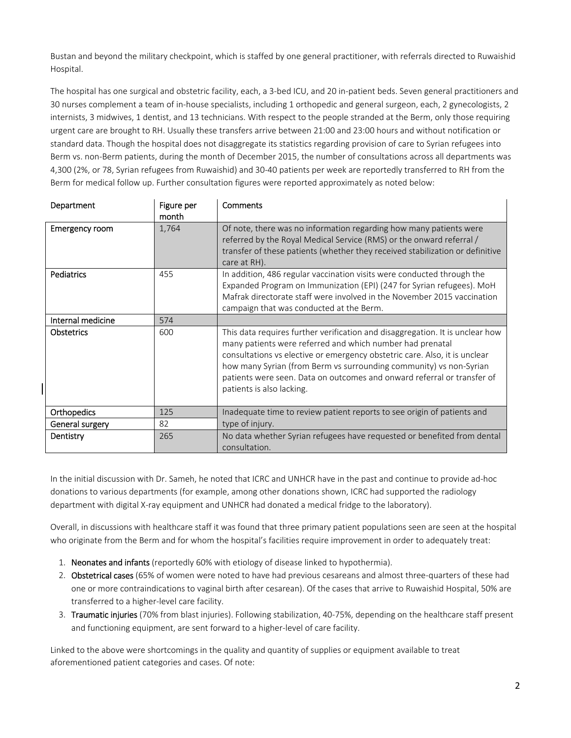Bustan and beyond the military checkpoint, which is staffed by one general practitioner, with referrals directed to Ruwaishid Hospital.

The hospital has one surgical and obstetric facility, each, a 3‐bed ICU, and 20 in‐patient beds. Seven general practitioners and 30 nurses complement a team of in‐house specialists, including 1 orthopedic and general surgeon, each, 2 gynecologists, 2 internists, 3 midwives, 1 dentist, and 13 technicians. With respect to the people stranded at the Berm, only those requiring urgent care are brought to RH. Usually these transfers arrive between 21:00 and 23:00 hours and without notification or standard data. Though the hospital does not disaggregate its statistics regarding provision of care to Syrian refugees into Berm vs. non‐Berm patients, during the month of December 2015, the number of consultations across all departments was 4,300 (2%, or 78, Syrian refugees from Ruwaishid) and 30‐40 patients per week are reportedly transferred to RH from the Berm for medical follow up. Further consultation figures were reported approximately as noted below:

| Department        | Figure per<br>month | Comments                                                                                                                                                                                                                                                                                                                                                                                               |
|-------------------|---------------------|--------------------------------------------------------------------------------------------------------------------------------------------------------------------------------------------------------------------------------------------------------------------------------------------------------------------------------------------------------------------------------------------------------|
| Emergency room    | 1,764               | Of note, there was no information regarding how many patients were<br>referred by the Royal Medical Service (RMS) or the onward referral /<br>transfer of these patients (whether they received stabilization or definitive<br>care at RH).                                                                                                                                                            |
| Pediatrics        | 455                 | In addition, 486 regular vaccination visits were conducted through the<br>Expanded Program on Immunization (EPI) (247 for Syrian refugees). MoH<br>Mafrak directorate staff were involved in the November 2015 vaccination<br>campaign that was conducted at the Berm.                                                                                                                                 |
| Internal medicine | 574                 |                                                                                                                                                                                                                                                                                                                                                                                                        |
| <b>Obstetrics</b> | 600                 | This data requires further verification and disaggregation. It is unclear how<br>many patients were referred and which number had prenatal<br>consultations vs elective or emergency obstetric care. Also, it is unclear<br>how many Syrian (from Berm vs surrounding community) vs non-Syrian<br>patients were seen. Data on outcomes and onward referral or transfer of<br>patients is also lacking. |
| Orthopedics       | 125                 | Inadequate time to review patient reports to see origin of patients and                                                                                                                                                                                                                                                                                                                                |
| General surgery   | 82                  | type of injury.                                                                                                                                                                                                                                                                                                                                                                                        |
| Dentistry         | 265                 | No data whether Syrian refugees have requested or benefited from dental<br>consultation.                                                                                                                                                                                                                                                                                                               |

In the initial discussion with Dr. Sameh, he noted that ICRC and UNHCR have in the past and continue to provide ad‐hoc donations to various departments (for example, among other donations shown, ICRC had supported the radiology department with digital X‐ray equipment and UNHCR had donated a medical fridge to the laboratory).

Overall, in discussions with healthcare staff it was found that three primary patient populations seen are seen at the hospital who originate from the Berm and for whom the hospital's facilities require improvement in order to adequately treat:

- 1. Neonates and infants (reportedly 60% with etiology of disease linked to hypothermia).
- 2. Obstetrical cases (65% of women were noted to have had previous cesareans and almost three-quarters of these had one or more contraindications to vaginal birth after cesarean). Of the cases that arrive to Ruwaishid Hospital, 50% are transferred to a higher‐level care facility.
- 3. Traumatic injuries (70% from blast injuries). Following stabilization, 40-75%, depending on the healthcare staff present and functioning equipment, are sent forward to a higher‐level of care facility.

Linked to the above were shortcomings in the quality and quantity of supplies or equipment available to treat aforementioned patient categories and cases. Of note: